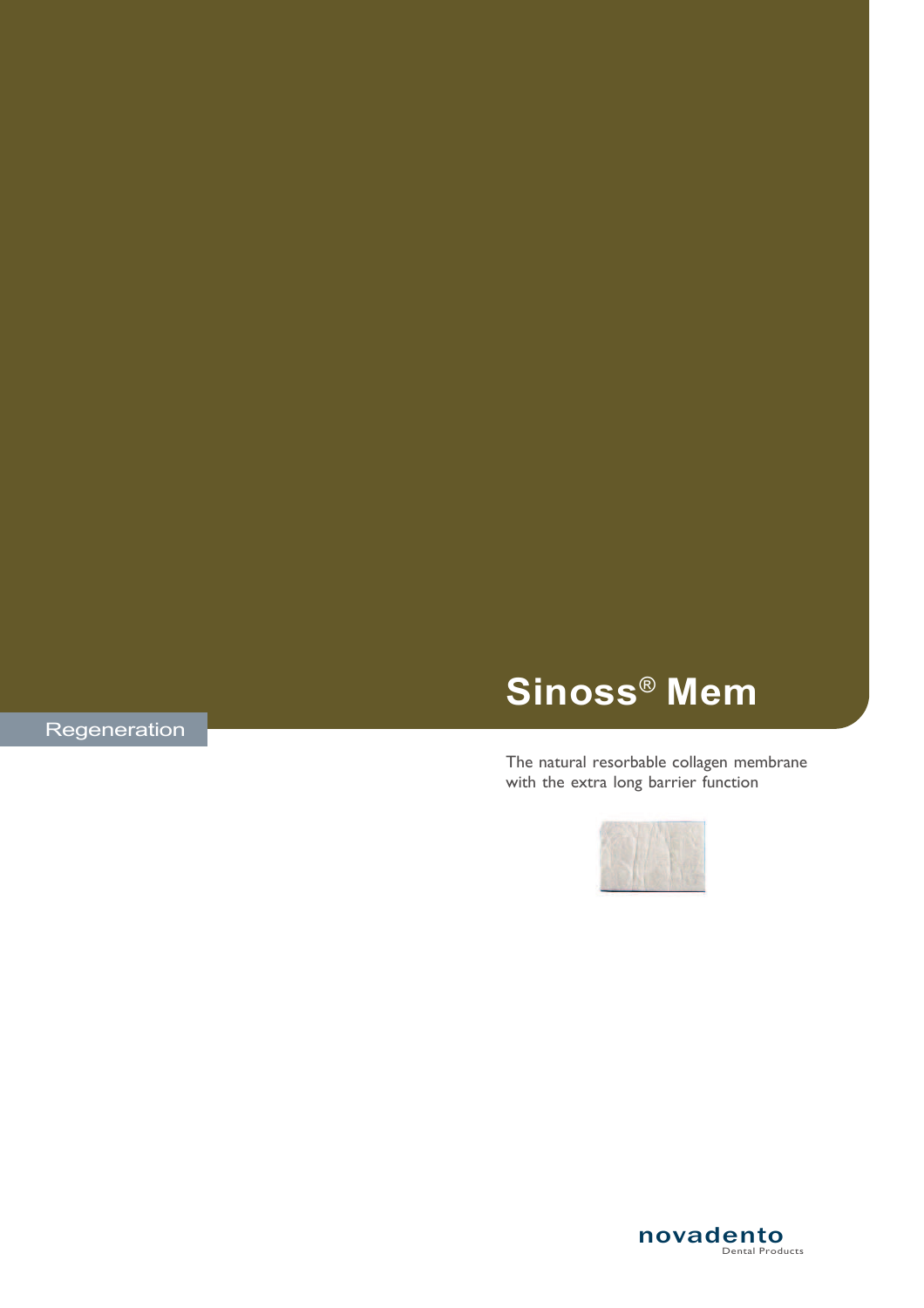# Sinoss® Mem

Regeneration

### The natural resorbable collagen membrane with the extra long barrier function